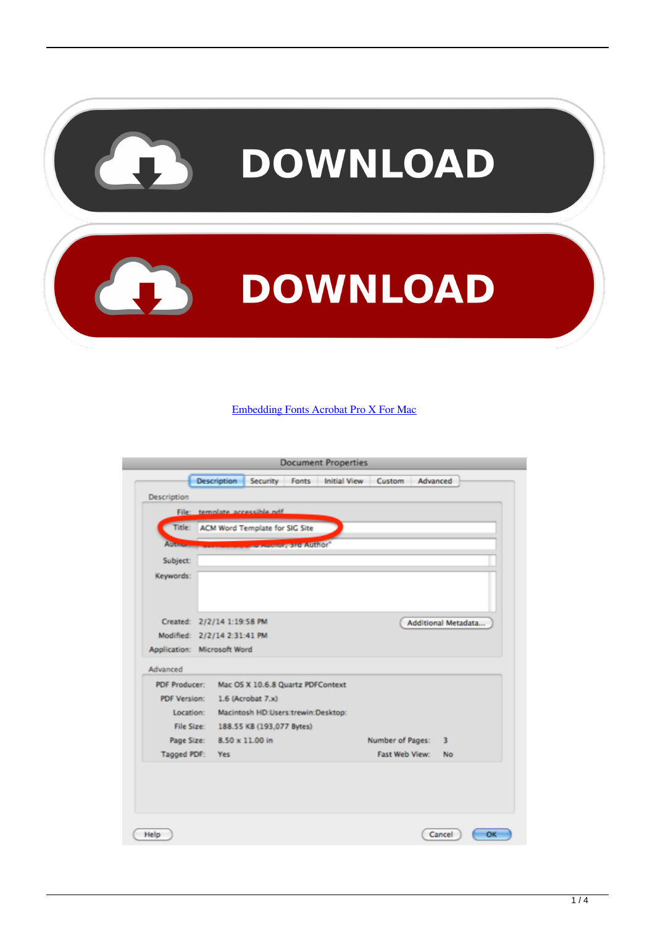

#### [Embedding Fonts Acrobat Pro X For Mac](https://picfs.com/1vdfdb)

|                   | Title: ACM Word Template for SIG Site |                                    |                   |                  |   |                     |
|-------------------|---------------------------------------|------------------------------------|-------------------|------------------|---|---------------------|
| <b>Automobile</b> |                                       |                                    | sumur, ard Author |                  |   |                     |
| Subject:          |                                       |                                    |                   |                  |   |                     |
| Keywords:         |                                       |                                    |                   |                  |   |                     |
|                   |                                       |                                    |                   |                  |   |                     |
|                   |                                       |                                    |                   |                  |   |                     |
|                   | Created: 2/2/14 1:19:58 PM            |                                    |                   |                  |   | Additional Metadata |
|                   | Modified: 2/2/14 2:31:41 PM           |                                    |                   |                  |   |                     |
|                   | Application: Microsoft Word           |                                    |                   |                  |   |                     |
| Advanced          |                                       |                                    |                   |                  |   |                     |
| PDF Producer:     |                                       | Mac OS X 10.6.8 Quartz PDFContext  |                   |                  |   |                     |
| PDF Version:      |                                       | 1.6 (Acrobat 7.x)                  |                   |                  |   |                     |
| Location:         |                                       | Macintosh HD:Users:trewin:Desktop: |                   |                  |   |                     |
| File Size:        |                                       | 188.55 KB (193,077 Bytes)          |                   |                  |   |                     |
| Page Size:        |                                       | 8.50 x 11.00 in                    |                   | Number of Pages: | 3 |                     |
| Tagged PDF:       | <b>Yes</b>                            |                                    |                   | Fast Web View:   |   | <b>No</b>           |
|                   |                                       |                                    |                   |                  |   |                     |
|                   |                                       |                                    |                   |                  |   |                     |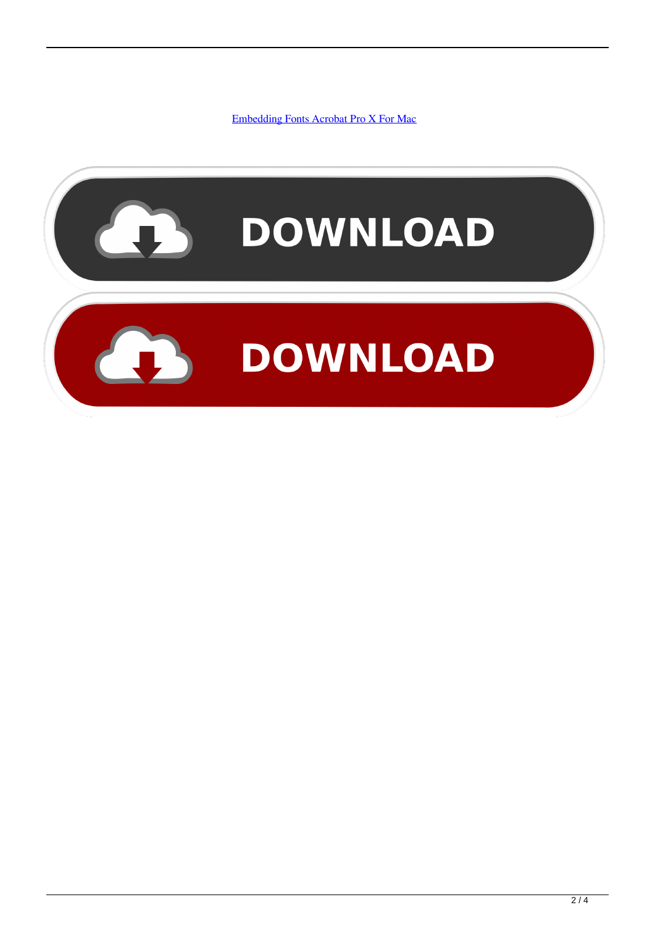[Embedding Fonts Acrobat Pro X For Mac](https://picfs.com/1vdfdb)

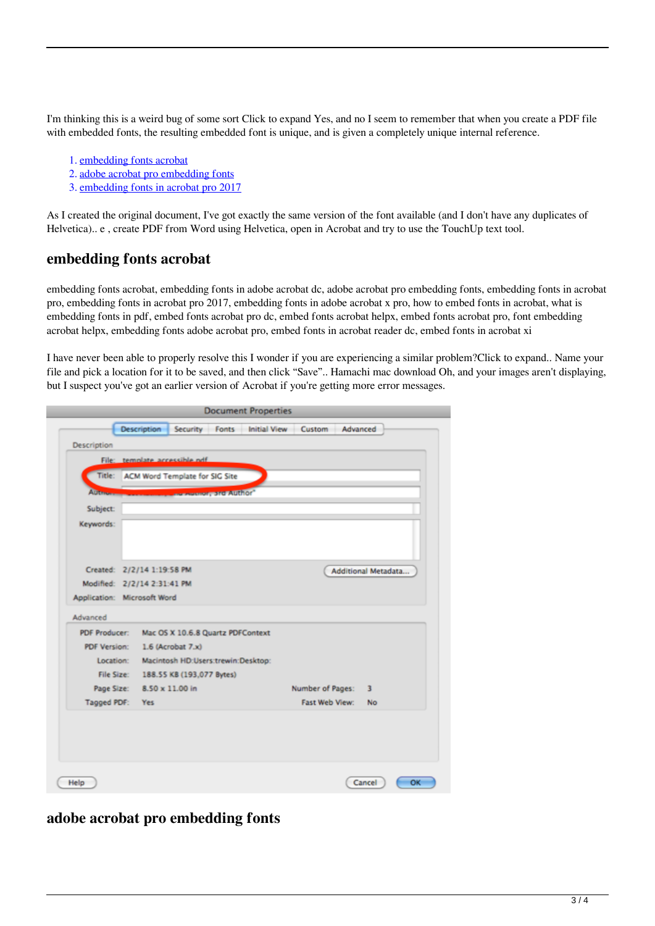I'm thinking this is a weird bug of some sort Click to expand Yes, and no I seem to remember that when you create a PDF file with embedded fonts, the resulting embedded font is unique, and is given a completely unique internal reference.

- 1. embedding fonts acrobat
- 2. adobe acrobat pro embedding fonts
- 3. embedding fonts in acrobat pro 2017

As I created the original document, I've got exactly the same version of the font available (and I don't have any duplicates of Helvetica).. e , create PDF from Word using Helvetica, open in Acrobat and try to use the TouchUp text tool.

### **embedding fonts acrobat**

embedding fonts acrobat, embedding fonts in adobe acrobat dc, adobe acrobat pro embedding fonts, embedding fonts in acrobat pro, embedding fonts in acrobat pro 2017, embedding fonts in adobe acrobat x pro, how to embed fonts in acrobat, what is embedding fonts in pdf, embed fonts acrobat pro dc, embed fonts acrobat helpx, embed fonts acrobat pro, font embedding acrobat helpx, embedding fonts adobe acrobat pro, embed fonts in acrobat reader dc, embed fonts in acrobat xi

I have never been able to properly resolve this I wonder if you are experiencing a similar problem?Click to expand.. Name your file and pick a location for it to be saved, and then click "Save".. Hamachi mac download Oh, and your images aren't displaying, but I suspect you've got an earlier version of Acrobat if you're getting more error messages.

|                | <b>Description</b>                   | Security Fonts                        |                              | Initial View Custom Advanced |                  |  |                     |  |  |  |
|----------------|--------------------------------------|---------------------------------------|------------------------------|------------------------------|------------------|--|---------------------|--|--|--|
| Description    |                                      |                                       |                              |                              |                  |  |                     |  |  |  |
|                |                                      | File: template accessible ndf         |                              |                              |                  |  |                     |  |  |  |
|                |                                      | Title: ACM Word Template for SIG Site |                              |                              |                  |  |                     |  |  |  |
| <b>Alltman</b> |                                      |                                       | <b>EXISTENCY STOP AUTHOR</b> |                              |                  |  |                     |  |  |  |
| Subject:       |                                      |                                       |                              |                              |                  |  |                     |  |  |  |
| Keywords:      |                                      |                                       |                              |                              |                  |  |                     |  |  |  |
|                |                                      |                                       |                              |                              |                  |  |                     |  |  |  |
|                |                                      |                                       |                              |                              |                  |  |                     |  |  |  |
|                | Created: 2/2/14 1:19:58 PM           |                                       |                              |                              |                  |  | Additional Metadata |  |  |  |
|                | Modified: 2/2/14 2:31:41 PM          |                                       |                              |                              |                  |  |                     |  |  |  |
|                | Application: Microsoft Word          |                                       |                              |                              |                  |  |                     |  |  |  |
| Advanced       |                                      |                                       |                              |                              |                  |  |                     |  |  |  |
| PDF Producer:  |                                      | Mac OS X 10.6.8 Quartz PDFContext     |                              |                              |                  |  |                     |  |  |  |
| PDF Version:   |                                      | 1.6 (Acrobat 7.x)                     |                              |                              |                  |  |                     |  |  |  |
|                | Location:                            | Macintosh HD:Users:trewin:Desktop:    |                              |                              |                  |  |                     |  |  |  |
|                | File Size: 188.55 KB (193,077 Bytes) |                                       |                              |                              |                  |  |                     |  |  |  |
| Page Size:     |                                      | 8.50 x 11.00 in                       |                              |                              | Number of Pages: |  | 3                   |  |  |  |
|                | Tagged PDF: Yes                      |                                       |                              |                              | Fast Web View:   |  | No.                 |  |  |  |
|                |                                      |                                       |                              |                              |                  |  |                     |  |  |  |
|                |                                      |                                       |                              |                              |                  |  |                     |  |  |  |
|                |                                      |                                       |                              |                              |                  |  |                     |  |  |  |
|                |                                      |                                       |                              |                              |                  |  |                     |  |  |  |

## **adobe acrobat pro embedding fonts**